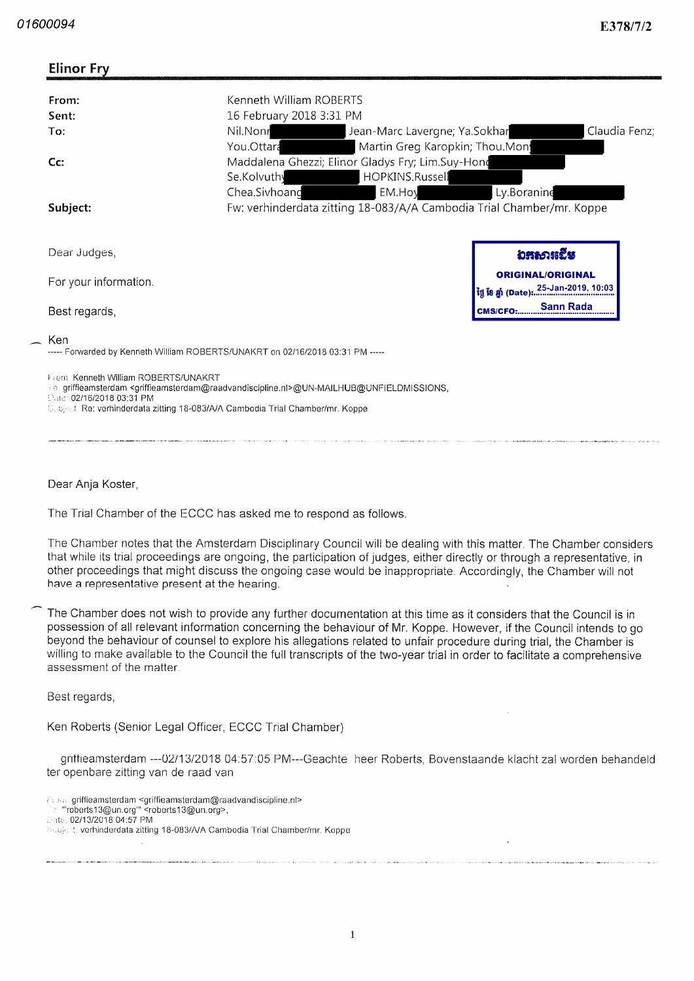| <b>Elinor Fry</b>                                                 |                                                                                                                                                                                                                    |                                                                                 |
|-------------------------------------------------------------------|--------------------------------------------------------------------------------------------------------------------------------------------------------------------------------------------------------------------|---------------------------------------------------------------------------------|
| From:<br>Sent:<br>To:                                             | Kenneth William ROBERTS<br>16 February 2018 3:31 PM<br>Nil.Nonr<br>Claudia Fenz;<br>Jean-Marc Lavergne; Ya.Sokhar<br>You.Ottara<br>Martin Greg Karopkin; Thou Mon                                                  |                                                                                 |
| $Cc$ :                                                            | Maddalena Ghezzi; Elinor Gladys Fry; Lim.Suy-Hong<br>Se.Kolvuthy<br>HOPKINS.Russell<br>Chea.Sivhoand<br>EM.Hoy<br>Ly.Boranine                                                                                      |                                                                                 |
| Subject:                                                          | Fw: verhinderdata zitting 18-083/A/A Cambodia Trial Chamber/mr. Koppe                                                                                                                                              |                                                                                 |
| Dear Judges,<br>For your information.                             |                                                                                                                                                                                                                    | ឯສសារជើម<br><b>ORIGINAL/ORIGINAL</b>                                            |
| Best regards,                                                     |                                                                                                                                                                                                                    | ថ្ងៃ ខែ ឆ្នាំ (Date): 25-Jan-2019, 10:03<br><b>Sann Rada</b><br><b>CMS/CFO:</b> |
| Ken                                                               | ----- Forwarded by Kenneth William ROBERTS/UNAKRT on 02/16/2018 03:31 PM -----                                                                                                                                     |                                                                                 |
| From, Kenneth William ROBERTS/UNAKRT<br>Cate: 02/16/2018 03:31 PM | 10. griffieamsterdam <griffieamsterdam@raadvandiscipline.nl>@UN-MAILHUB@UNFIELDMISSIONS,<br/>Copiect Ret verhinderdata zitting 18-083/A/A Cambodia Trial Chamber/mr. Koppe</griffieamsterdam@raadvandiscipline.nl> |                                                                                 |

Dear Anja Koster

The Trial Chamber of the ECCC has asked me to respond as follows

The Chamber notes that the Amsterdam Disciplinary Council will be dealing with this matter The Chamber considers that while its trial proceedings are ongoing, the participation of judges, either directly or through a representative, in other proceedings that might discuss the ongoing case would be inappropriate Accordingly the Chamber will not have a representative present at the hearing.

The Chamber does not wish to provide any further documentation at this time as it considers that the Council is in possession of all relevant information concerning the behaviour of Mr. Koppe. However, if the Council intends to go beyond the behaviour of counsel to explore his allegations related to unfair procedure during trial, the Chamber is willing to make available to the Council the full transcripts of the two-year trial in order to facilitate a comprehensive assessment of the matter

Best regards

Ken Roberts (Senior Legal Officer, ECCC Trial Chamber)

griffieamsterdam ---02/13/2018 04:57:05 PM---Geachte heer Roberts, Bovenstaande klacht zal worden behandeld ter openbare zitting van de raad van

: griffieamsterdam <griffieamsterdam@raadvandiscipline.ni><br>'roberts13@un.org''' <roberts13@un.org>, **Diste, 02/13/2018 04:57 PM** Subject. verhinderdata zitting 18-083/A/A Cambodia Trial Chamber/mr. Koppe